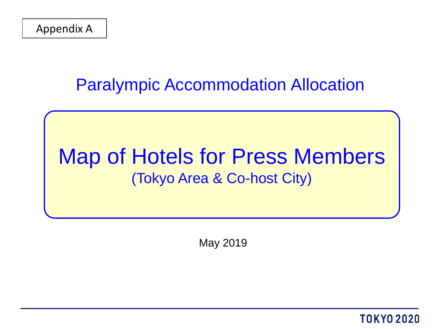### Paralympic Accommodation Allocation

# Map of Hotels for Press Members (Tokyo Area & Co-host City)

May 2019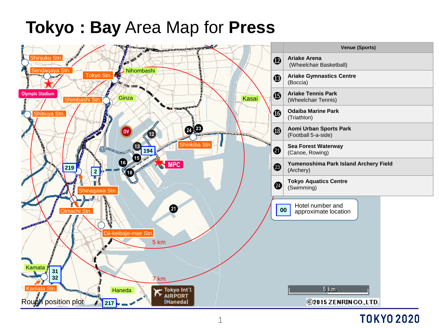# **Tokyo : Bay** Area Map for **Press**

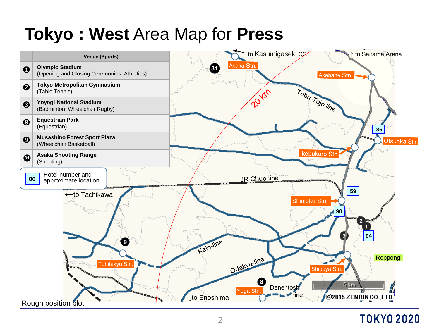# **Tokyo : West** Area Map for **Press**

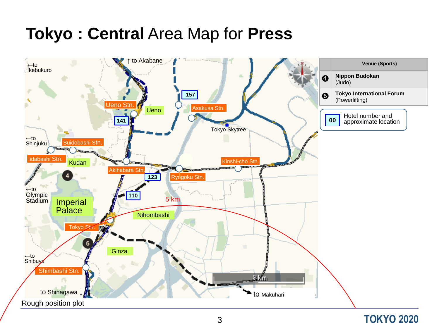## **Tokyo : Central** Area Map for **Press**

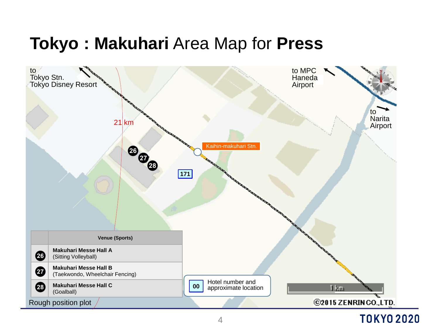# **Tokyo : Makuhari** Area Map for **Press**